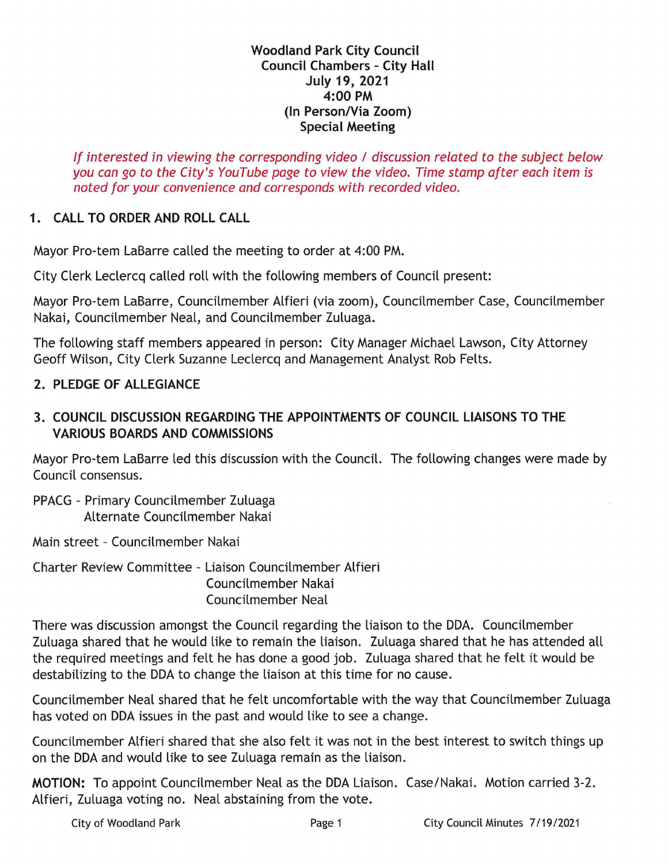#### **Woodland Park City Council Council Chambers - City Hall July 19, 2021 4:00 PM**  (In Person/Via Zoom) **Special Meeting**

If interested in viewing the corresponding video / discussion related to the subject below you can go to the City's YouTube page to view the video. Time stamp after each item is noted for your convenience and corresponds with recorded video.

# **1 . CALL TO ORDER AND ROLL CALL**

Mayor Pro-tern LaBarre called the meeting to order at 4:00 PM.

City Clerk Leclercq called roll with the following members of Council present:

Mayor Pro-tern LaBarre, Councilmember Alfieri (via zoom), Councilmember Case, Councilmember Nakai, Councilmember Neal, and Councilmember Zuluaga.

The following staff members appeared in person: City Manager Michael Lawson, City Attorney Geoff Wilson, City Clerk Suzanne Leclercq and Management Analyst Rob Felts.

# **2. PLEDGE OF ALLEGIANCE**

# **3. COUNCIL DISCUSSION REGARDING THE APPOINTMENTS OF COUNCIL LIAISONS TO THE VARIOUS BOARDS AND COMMISSIONS**

Mayor Pro-tern LaBarre led this discussion with the Council. The following changes were made by Council consensus.

PPACG - Primary Councilmember Zuluaga Alternate Councilmember Nakai

Main street - Councilmember Nakai

Charter Review Committee - Liaison Councilmember Alfieri Councilmember Nakai Councilmember Neal

There was discussion amongst the Council regarding the liaison to the DDA. Councilmember Zuluaga shared that he would like to remain the liaison. Zuluaga shared that he has attended all the required meetings and felt he has done a good job. Zuluaga shared that he felt it would be destabilizing to the DDA to change the liaison at this time for no cause.

Councilmember Neal shared that he felt uncomfortable with the way that Councilmember Zuluaga has voted on DDA issues in the past and would like to see a change.

Councilmember Alfieri shared that she also felt it was not in the best interest to switch things up on the DDA and would like to see Zuluaga remain as the liaison.

**MOTION:** To appoint Councilmember Neal as the DDA Liaison. Case/Nakai. Motion carried 3-2. Alfieri, Zuluaga voting no. Neal abstaining from the vote.